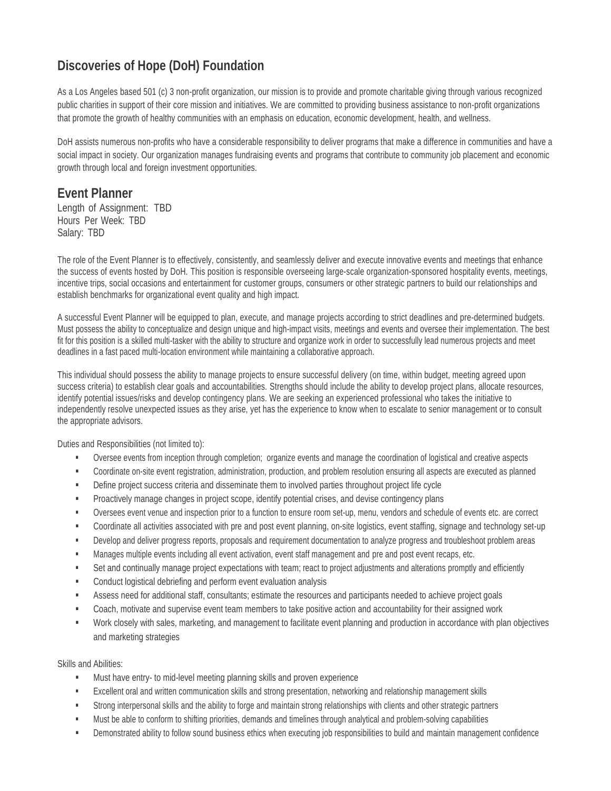## **Discoveries of Hope (DoH) Foundation**

As a Los Angeles based 501 (c) 3 non-profit organization, our mission is to provide and promote charitable giving through various recognized public charities in support of their core mission and initiatives. We are committed to providing business assistance to non-profit organizations that promote the growth of healthy communities with an emphasis on education, economic development, health, and wellness.

DoH assists numerous non-profits who have a considerable responsibility to deliver programs that make a difference in communities and have a social impact in society. Our organization manages fundraising events and programs that contribute to community job placement and economic growth through local and foreign investment opportunities.

## **Event Planner**

Length of Assignment: TBD Hours Per Week: TBD Salary: TBD

The role of the Event Planner is to effectively, consistently, and seamlessly deliver and execute innovative events and meetings that enhance the success of events hosted by DoH. This position is responsible overseeing large-scale organization-sponsored hospitality events, meetings, incentive trips, social occasions and entertainment for customer groups, consumers or other strategic partners to build our relationships and establish benchmarks for organizational event quality and high impact.

A successful Event Planner will be equipped to plan, execute, and manage projects according to strict deadlines and pre-determined budgets. Must possess the ability to conceptualize and design unique and high-impact visits, meetings and events and oversee their implementation. The best fit for this position is a skilled multi-tasker with the ability to structure and organize work in order to successfully lead numerous projects and meet deadlines in a fast paced multi-location environment while maintaining a collaborative approach.

This individual should possess the ability to manage projects to ensure successful delivery (on time, within budget, meeting agreed upon success criteria) to establish clear goals and accountabilities. Strengths should include the ability to develop project plans, allocate resources, identify potential issues/risks and develop contingency plans. We are seeking an experienced professional who takes the initiative to independently resolve unexpected issues as they arise, yet has the experience to know when to escalate to senior management or to consult the appropriate advisors.

Duties and Responsibilities (not limited to):

- Oversee events from inception through completion; organize events and manage the coordination of logistical and creative aspects
- Coordinate on-site event registration, administration, production, and problem resolution ensuring all aspects are executed as planned
- **•** Define project success criteria and disseminate them to involved parties throughout project life cycle
- Proactively manage changes in project scope, identify potential crises, and devise contingency plans
- Oversees event venue and inspection priorto a function to ensure room set-up, menu, vendors and schedule of events etc. are correct
- Coordinate all activities associated with pre and post event planning, on-site logistics, event staffing, signage and technology set-up
- Develop and deliver progress reports, proposals and requirement documentation to analyze progress and troubleshoot problem areas
- Manages multiple events including all event activation, event staff management and pre and post event recaps, etc.
- Set and continually manage project expectations with team; react to project adjustments and alterations promptly and efficiently
- **Conduct logistical debriefing and perform event evaluation analysis**
- Assess need for additional staff, consultants; estimate the resources and participants needed to achieve project goals
- Coach, motivate and supervise event team members to take positive action and accountability for their assigned work
- Work closely with sales, marketing, and management to facilitate event planning and production in accordance with plan objectives and marketing strategies

Skills and Abilities:

- Must have entry- to mid-level meeting planning skills and proven experience
- Excellent oral and written communication skills and strong presentation, networking and relationship management skills
- Strong interpersonal skills and the ability to forge and maintain strong relationships with clients and other strategic partners
- **Must be able to conform to shifting priorities, demands and timelines through analytical and problem-solving capabilities**
- **•** Demonstrated ability to follow sound business ethics when executing job responsibilities to build and maintain management confidence